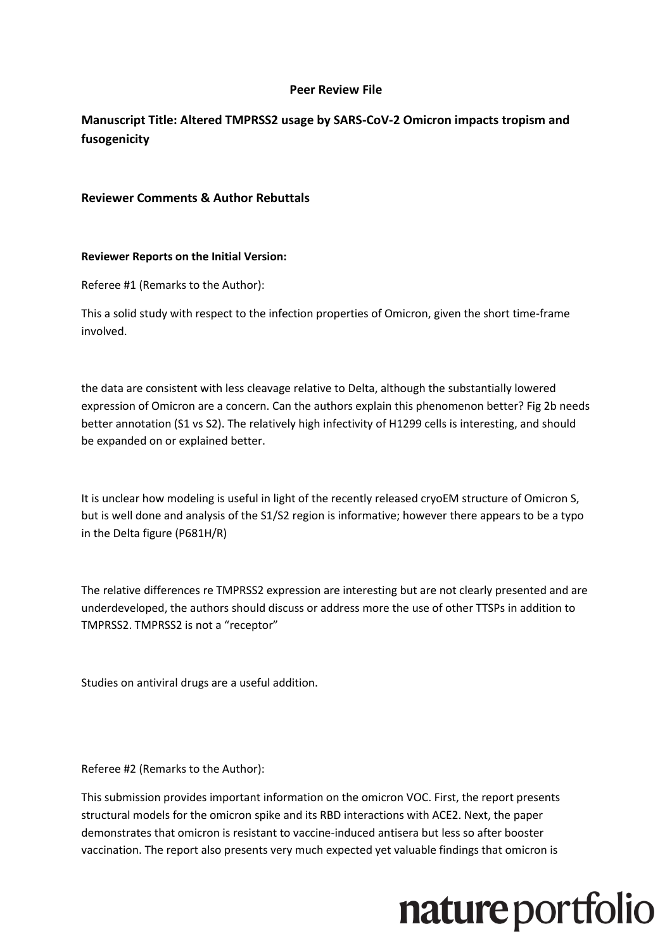#### **Peer Review File**

#### **Manuscript Title: Altered TMPRSS2 usage by SARS-CoV-2 Omicron impacts tropism and fusogenicity**

#### **Reviewer Comments & Author Rebuttals**

#### **Reviewer Reports on the Initial Version:**

Referee #1 (Remarks to the Author):

This a solid study with respect to the infection properties of Omicron, given the short time-frame involved.

the data are consistent with less cleavage relative to Delta, although the substantially lowered expression of Omicron are a concern. Can the authors explain this phenomenon better? Fig 2b needs better annotation (S1 vs S2). The relatively high infectivity of H1299 cells is interesting, and should be expanded on or explained better.

It is unclear how modeling is useful in light of the recently released cryoEM structure of Omicron S, but is well done and analysis of the S1/S2 region is informative; however there appears to be a typo in the Delta figure (P681H/R)

The relative differences re TMPRSS2 expression are interesting but are not clearly presented and are underdeveloped, the authors should discuss or address more the use of other TTSPs in addition to TMPRSS2. TMPRSS2 is not a "receptor"

Studies on antiviral drugs are a useful addition.

Referee #2 (Remarks to the Author):

This submission provides important information on the omicron VOC. First, the report presents structural models for the omicron spike and its RBD interactions with ACE2. Next, the paper demonstrates that omicron is resistant to vaccine-induced antisera but less so after booster vaccination. The report also presents very much expected yet valuable findings that omicron is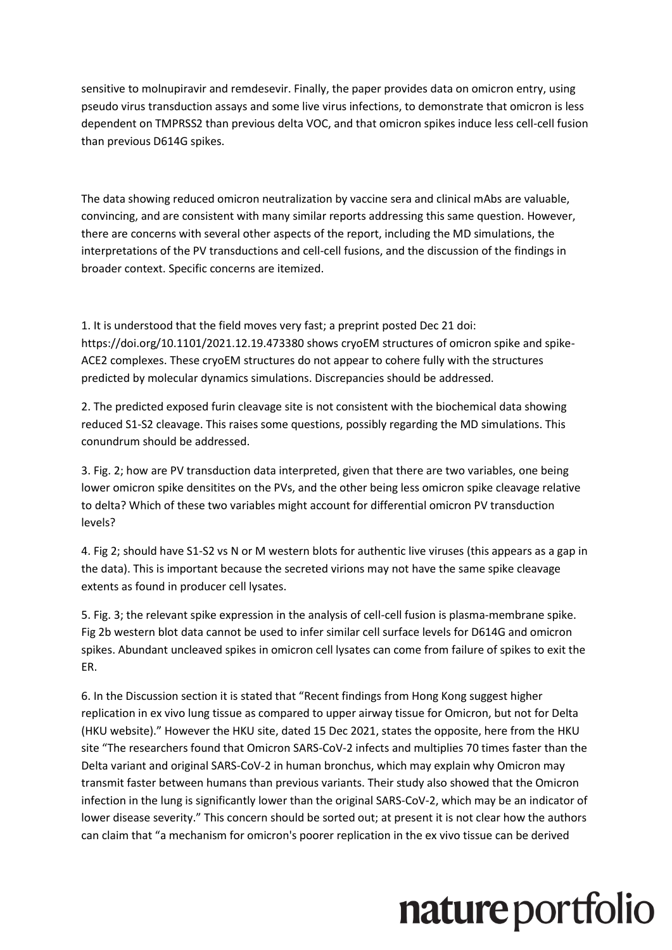sensitive to molnupiravir and remdesevir. Finally, the paper provides data on omicron entry, using pseudo virus transduction assays and some live virus infections, to demonstrate that omicron is less dependent on TMPRSS2 than previous delta VOC, and that omicron spikes induce less cell-cell fusion than previous D614G spikes.

The data showing reduced omicron neutralization by vaccine sera and clinical mAbs are valuable, convincing, and are consistent with many similar reports addressing this same question. However, there are concerns with several other aspects of the report, including the MD simulations, the interpretations of the PV transductions and cell-cell fusions, and the discussion of the findings in broader context. Specific concerns are itemized.

1. It is understood that the field moves very fast; a preprint posted Dec 21 doi: https://doi.org/10.1101/2021.12.19.473380 shows cryoEM structures of omicron spike and spike-ACE2 complexes. These cryoEM structures do not appear to cohere fully with the structures predicted by molecular dynamics simulations. Discrepancies should be addressed.

2. The predicted exposed furin cleavage site is not consistent with the biochemical data showing reduced S1-S2 cleavage. This raises some questions, possibly regarding the MD simulations. This conundrum should be addressed.

3. Fig. 2; how are PV transduction data interpreted, given that there are two variables, one being lower omicron spike densitites on the PVs, and the other being less omicron spike cleavage relative to delta? Which of these two variables might account for differential omicron PV transduction levels?

4. Fig 2; should have S1-S2 vs N or M western blots for authentic live viruses (this appears as a gap in the data). This is important because the secreted virions may not have the same spike cleavage extents as found in producer cell lysates.

5. Fig. 3; the relevant spike expression in the analysis of cell-cell fusion is plasma-membrane spike. Fig 2b western blot data cannot be used to infer similar cell surface levels for D614G and omicron spikes. Abundant uncleaved spikes in omicron cell lysates can come from failure of spikes to exit the ER.

6. In the Discussion section it is stated that "Recent findings from Hong Kong suggest higher replication in ex vivo lung tissue as compared to upper airway tissue for Omicron, but not for Delta (HKU website)." However the HKU site, dated 15 Dec 2021, states the opposite, here from the HKU site "The researchers found that Omicron SARS-CoV-2 infects and multiplies 70 times faster than the Delta variant and original SARS-CoV-2 in human bronchus, which may explain why Omicron may transmit faster between humans than previous variants. Their study also showed that the Omicron infection in the lung is significantly lower than the original SARS-CoV-2, which may be an indicator of lower disease severity." This concern should be sorted out; at present it is not clear how the authors can claim that "a mechanism for omicron's poorer replication in the ex vivo tissue can be derived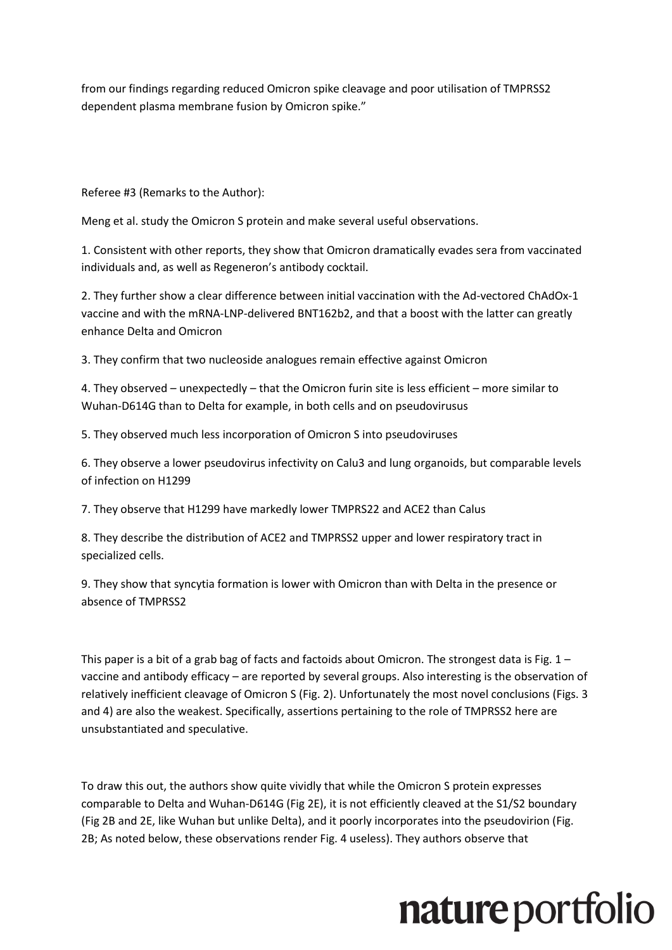from our findings regarding reduced Omicron spike cleavage and poor utilisation of TMPRSS2 dependent plasma membrane fusion by Omicron spike."

Referee #3 (Remarks to the Author):

Meng et al. study the Omicron S protein and make several useful observations.

1. Consistent with other reports, they show that Omicron dramatically evades sera from vaccinated individuals and, as well as Regeneron's antibody cocktail.

2. They further show a clear difference between initial vaccination with the Ad-vectored ChAdOx-1 vaccine and with the mRNA-LNP-delivered BNT162b2, and that a boost with the latter can greatly enhance Delta and Omicron

3. They confirm that two nucleoside analogues remain effective against Omicron

4. They observed – unexpectedly – that the Omicron furin site is less efficient – more similar to Wuhan-D614G than to Delta for example, in both cells and on pseudovirusus

5. They observed much less incorporation of Omicron S into pseudoviruses

6. They observe a lower pseudovirus infectivity on Calu3 and lung organoids, but comparable levels of infection on H1299

7. They observe that H1299 have markedly lower TMPRS22 and ACE2 than Calus

8. They describe the distribution of ACE2 and TMPRSS2 upper and lower respiratory tract in specialized cells.

9. They show that syncytia formation is lower with Omicron than with Delta in the presence or absence of TMPRSS2

This paper is a bit of a grab bag of facts and factoids about Omicron. The strongest data is Fig. 1 vaccine and antibody efficacy – are reported by several groups. Also interesting is the observation of relatively inefficient cleavage of Omicron S (Fig. 2). Unfortunately the most novel conclusions (Figs. 3 and 4) are also the weakest. Specifically, assertions pertaining to the role of TMPRSS2 here are unsubstantiated and speculative.

To draw this out, the authors show quite vividly that while the Omicron S protein expresses comparable to Delta and Wuhan-D614G (Fig 2E), it is not efficiently cleaved at the S1/S2 boundary (Fig 2B and 2E, like Wuhan but unlike Delta), and it poorly incorporates into the pseudovirion (Fig. 2B; As noted below, these observations render Fig. 4 useless). They authors observe that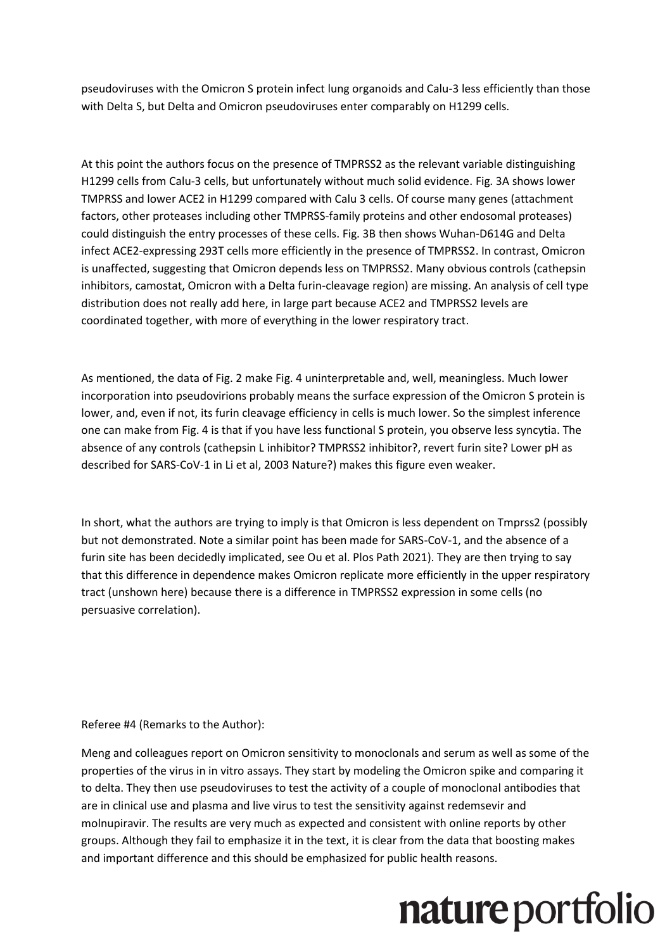pseudoviruses with the Omicron S protein infect lung organoids and Calu-3 less efficiently than those with Delta S, but Delta and Omicron pseudoviruses enter comparably on H1299 cells.

At this point the authors focus on the presence of TMPRSS2 as the relevant variable distinguishing H1299 cells from Calu-3 cells, but unfortunately without much solid evidence. Fig. 3A shows lower TMPRSS and lower ACE2 in H1299 compared with Calu 3 cells. Of course many genes (attachment factors, other proteases including other TMPRSS-family proteins and other endosomal proteases) could distinguish the entry processes of these cells. Fig. 3B then shows Wuhan-D614G and Delta infect ACE2-expressing 293T cells more efficiently in the presence of TMPRSS2. In contrast, Omicron is unaffected, suggesting that Omicron depends less on TMPRSS2. Many obvious controls (cathepsin inhibitors, camostat, Omicron with a Delta furin-cleavage region) are missing. An analysis of cell type distribution does not really add here, in large part because ACE2 and TMPRSS2 levels are coordinated together, with more of everything in the lower respiratory tract.

As mentioned, the data of Fig. 2 make Fig. 4 uninterpretable and, well, meaningless. Much lower incorporation into pseudovirions probably means the surface expression of the Omicron S protein is lower, and, even if not, its furin cleavage efficiency in cells is much lower. So the simplest inference one can make from Fig. 4 is that if you have less functional S protein, you observe less syncytia. The absence of any controls (cathepsin L inhibitor? TMPRSS2 inhibitor?, revert furin site? Lower pH as described for SARS-CoV-1 in Li et al, 2003 Nature?) makes this figure even weaker.

In short, what the authors are trying to imply is that Omicron is less dependent on Tmprss2 (possibly but not demonstrated. Note a similar point has been made for SARS-CoV-1, and the absence of a furin site has been decidedly implicated, see Ou et al. Plos Path 2021). They are then trying to say that this difference in dependence makes Omicron replicate more efficiently in the upper respiratory tract (unshown here) because there is a difference in TMPRSS2 expression in some cells (no persuasive correlation).

Referee #4 (Remarks to the Author):

Meng and colleagues report on Omicron sensitivity to monoclonals and serum as well as some of the properties of the virus in in vitro assays. They start by modeling the Omicron spike and comparing it to delta. They then use pseudoviruses to test the activity of a couple of monoclonal antibodies that are in clinical use and plasma and live virus to test the sensitivity against redemsevir and molnupiravir. The results are very much as expected and consistent with online reports by other groups. Although they fail to emphasize it in the text, it is clear from the data that boosting makes and important difference and this should be emphasized for public health reasons.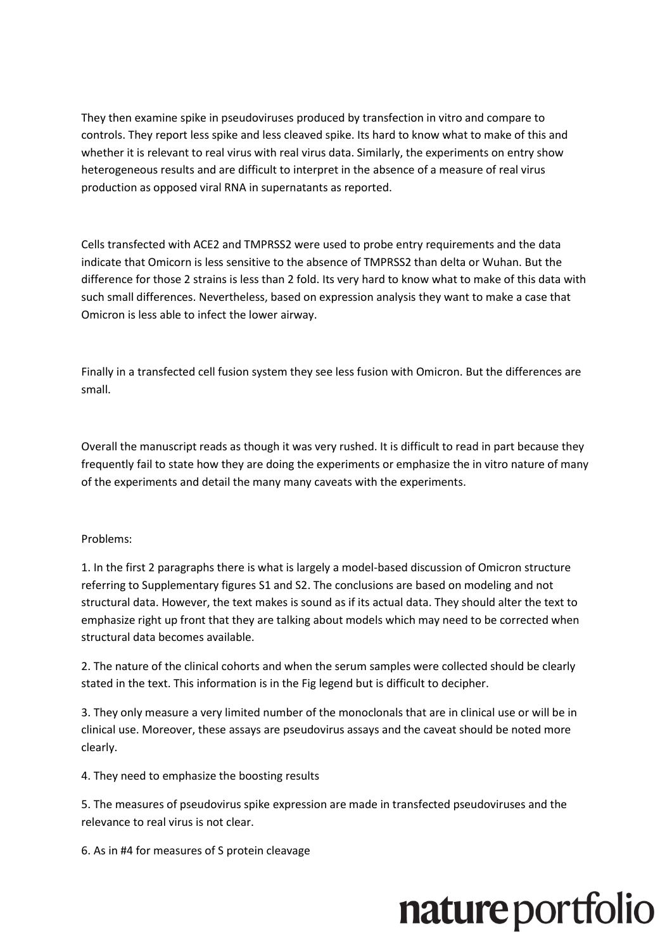They then examine spike in pseudoviruses produced by transfection in vitro and compare to controls. They report less spike and less cleaved spike. Its hard to know what to make of this and whether it is relevant to real virus with real virus data. Similarly, the experiments on entry show heterogeneous results and are difficult to interpret in the absence of a measure of real virus production as opposed viral RNA in supernatants as reported.

Cells transfected with ACE2 and TMPRSS2 were used to probe entry requirements and the data indicate that Omicorn is less sensitive to the absence of TMPRSS2 than delta or Wuhan. But the difference for those 2 strains is less than 2 fold. Its very hard to know what to make of this data with such small differences. Nevertheless, based on expression analysis they want to make a case that Omicron is less able to infect the lower airway.

Finally in a transfected cell fusion system they see less fusion with Omicron. But the differences are small.

Overall the manuscript reads as though it was very rushed. It is difficult to read in part because they frequently fail to state how they are doing the experiments or emphasize the in vitro nature of many of the experiments and detail the many many caveats with the experiments.

#### Problems:

1. In the first 2 paragraphs there is what is largely a model-based discussion of Omicron structure referring to Supplementary figures S1 and S2. The conclusions are based on modeling and not structural data. However, the text makes is sound as if its actual data. They should alter the text to emphasize right up front that they are talking about models which may need to be corrected when structural data becomes available.

2. The nature of the clinical cohorts and when the serum samples were collected should be clearly stated in the text. This information is in the Fig legend but is difficult to decipher.

3. They only measure a very limited number of the monoclonals that are in clinical use or will be in clinical use. Moreover, these assays are pseudovirus assays and the caveat should be noted more clearly.

4. They need to emphasize the boosting results

5. The measures of pseudovirus spike expression are made in transfected pseudoviruses and the relevance to real virus is not clear.

6. As in #4 for measures of S protein cleavage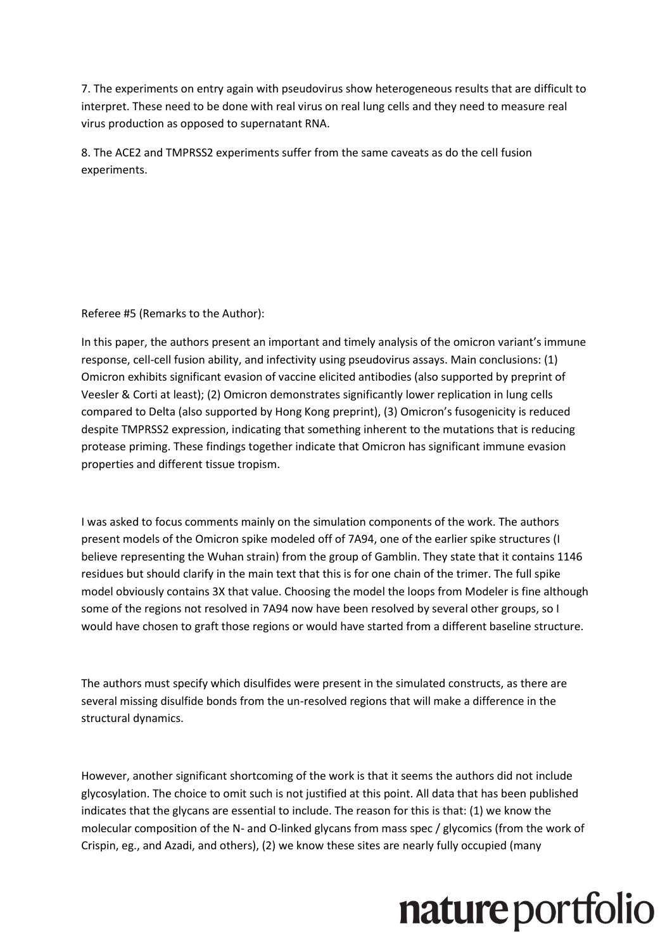7. The experiments on entry again with pseudovirus show heterogeneous results that are difficult to interpret. These need to be done with real virus on real lung cells and they need to measure real virus production as opposed to supernatant RNA.

8. The ACE2 and TMPRSS2 experiments suffer from the same caveats as do the cell fusion experiments.

Referee #5 (Remarks to the Author):

In this paper, the authors present an important and timely analysis of the omicron variant's immune response, cell-cell fusion ability, and infectivity using pseudovirus assays. Main conclusions: (1) Omicron exhibits significant evasion of vaccine elicited antibodies (also supported by preprint of Veesler & Corti at least); (2) Omicron demonstrates significantly lower replication in lung cells compared to Delta (also supported by Hong Kong preprint), (3) Omicron's fusogenicity is reduced despite TMPRSS2 expression, indicating that something inherent to the mutations that is reducing protease priming. These findings together indicate that Omicron has significant immune evasion properties and different tissue tropism.

I was asked to focus comments mainly on the simulation components of the work. The authors present models of the Omicron spike modeled off of 7A94, one of the earlier spike structures (I believe representing the Wuhan strain) from the group of Gamblin. They state that it contains 1146 residues but should clarify in the main text that this is for one chain of the trimer. The full spike model obviously contains 3X that value. Choosing the model the loops from Modeler is fine although some of the regions not resolved in 7A94 now have been resolved by several other groups, so I would have chosen to graft those regions or would have started from a different baseline structure.

The authors must specify which disulfides were present in the simulated constructs, as there are several missing disulfide bonds from the un-resolved regions that will make a difference in the structural dynamics.

However, another significant shortcoming of the work is that it seems the authors did not include glycosylation. The choice to omit such is not justified at this point. All data that has been published indicates that the glycans are essential to include. The reason for this is that: (1) we know the molecular composition of the N- and O-linked glycans from mass spec / glycomics (from the work of Crispin, eg., and Azadi, and others), (2) we know these sites are nearly fully occupied (many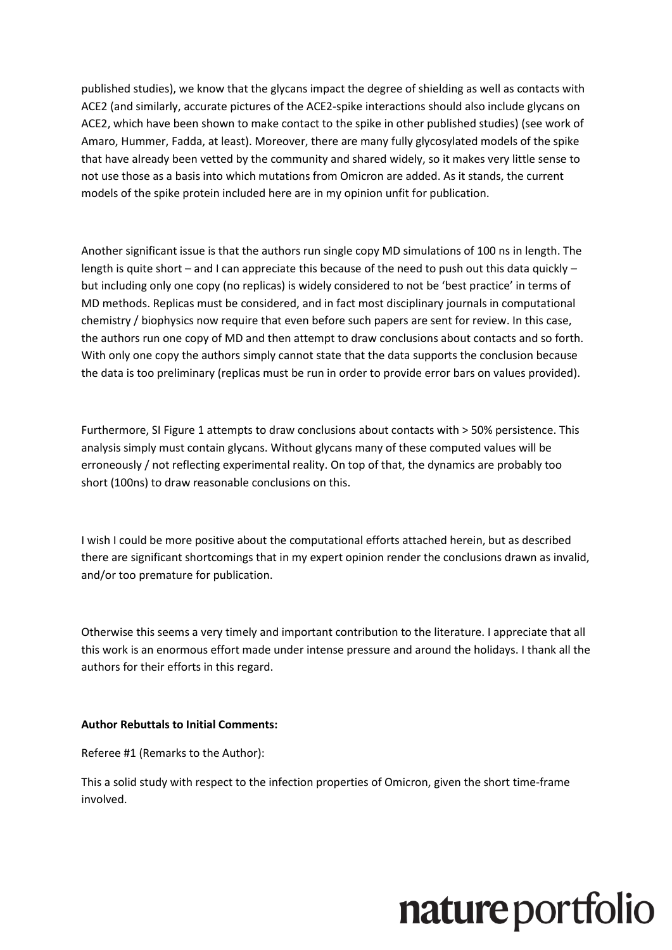published studies), we know that the glycans impact the degree of shielding as well as contacts with ACE2 (and similarly, accurate pictures of the ACE2-spike interactions should also include glycans on ACE2, which have been shown to make contact to the spike in other published studies) (see work of Amaro, Hummer, Fadda, at least). Moreover, there are many fully glycosylated models of the spike that have already been vetted by the community and shared widely, so it makes very little sense to not use those as a basis into which mutations from Omicron are added. As it stands, the current models of the spike protein included here are in my opinion unfit for publication.

Another significant issue is that the authors run single copy MD simulations of 100 ns in length. The length is quite short – and I can appreciate this because of the need to push out this data quickly – but including only one copy (no replicas) is widely considered to not be 'best practice' in terms of MD methods. Replicas must be considered, and in fact most disciplinary journals in computational chemistry / biophysics now require that even before such papers are sent for review. In this case, the authors run one copy of MD and then attempt to draw conclusions about contacts and so forth. With only one copy the authors simply cannot state that the data supports the conclusion because the data is too preliminary (replicas must be run in order to provide error bars on values provided).

Furthermore, SI Figure 1 attempts to draw conclusions about contacts with > 50% persistence. This analysis simply must contain glycans. Without glycans many of these computed values will be erroneously / not reflecting experimental reality. On top of that, the dynamics are probably too short (100ns) to draw reasonable conclusions on this.

I wish I could be more positive about the computational efforts attached herein, but as described there are significant shortcomings that in my expert opinion render the conclusions drawn as invalid, and/or too premature for publication.

Otherwise this seems a very timely and important contribution to the literature. I appreciate that all this work is an enormous effort made under intense pressure and around the holidays. I thank all the authors for their efforts in this regard.

#### **Author Rebuttals to Initial Comments:**

Referee #1 (Remarks to the Author):

This a solid study with respect to the infection properties of Omicron, given the short time-frame involved.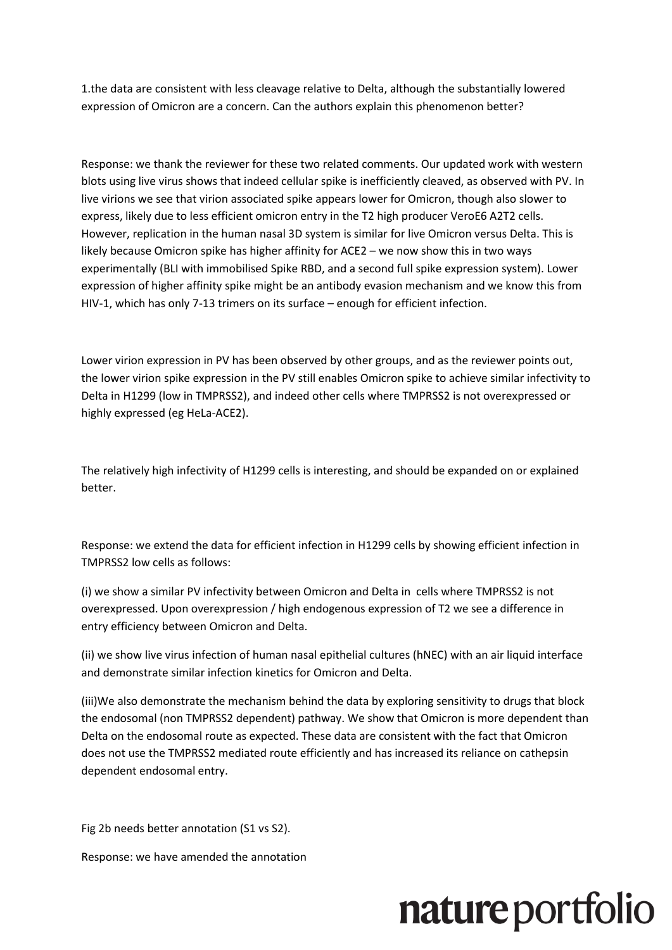1.the data are consistent with less cleavage relative to Delta, although the substantially lowered expression of Omicron are a concern. Can the authors explain this phenomenon better?

Response: we thank the reviewer for these two related comments. Our updated work with western blots using live virus shows that indeed cellular spike is inefficiently cleaved, as observed with PV. In live virions we see that virion associated spike appears lower for Omicron, though also slower to express, likely due to less efficient omicron entry in the T2 high producer VeroE6 A2T2 cells. However, replication in the human nasal 3D system is similar for live Omicron versus Delta. This is likely because Omicron spike has higher affinity for ACE2 – we now show this in two ways experimentally (BLI with immobilised Spike RBD, and a second full spike expression system). Lower expression of higher affinity spike might be an antibody evasion mechanism and we know this from HIV-1, which has only 7-13 trimers on its surface – enough for efficient infection.

Lower virion expression in PV has been observed by other groups, and as the reviewer points out, the lower virion spike expression in the PV still enables Omicron spike to achieve similar infectivity to Delta in H1299 (low in TMPRSS2), and indeed other cells where TMPRSS2 is not overexpressed or highly expressed (eg HeLa-ACE2).

The relatively high infectivity of H1299 cells is interesting, and should be expanded on or explained better.

Response: we extend the data for efficient infection in H1299 cells by showing efficient infection in TMPRSS2 low cells as follows:

(i) we show a similar PV infectivity between Omicron and Delta in cells where TMPRSS2 is not overexpressed. Upon overexpression / high endogenous expression of T2 we see a difference in entry efficiency between Omicron and Delta.

(ii) we show live virus infection of human nasal epithelial cultures (hNEC) with an air liquid interface and demonstrate similar infection kinetics for Omicron and Delta.

(iii)We also demonstrate the mechanism behind the data by exploring sensitivity to drugs that block the endosomal (non TMPRSS2 dependent) pathway. We show that Omicron is more dependent than Delta on the endosomal route as expected. These data are consistent with the fact that Omicron does not use the TMPRSS2 mediated route efficiently and has increased its reliance on cathepsin dependent endosomal entry.

Fig 2b needs better annotation (S1 vs S2).

Response: we have amended the annotation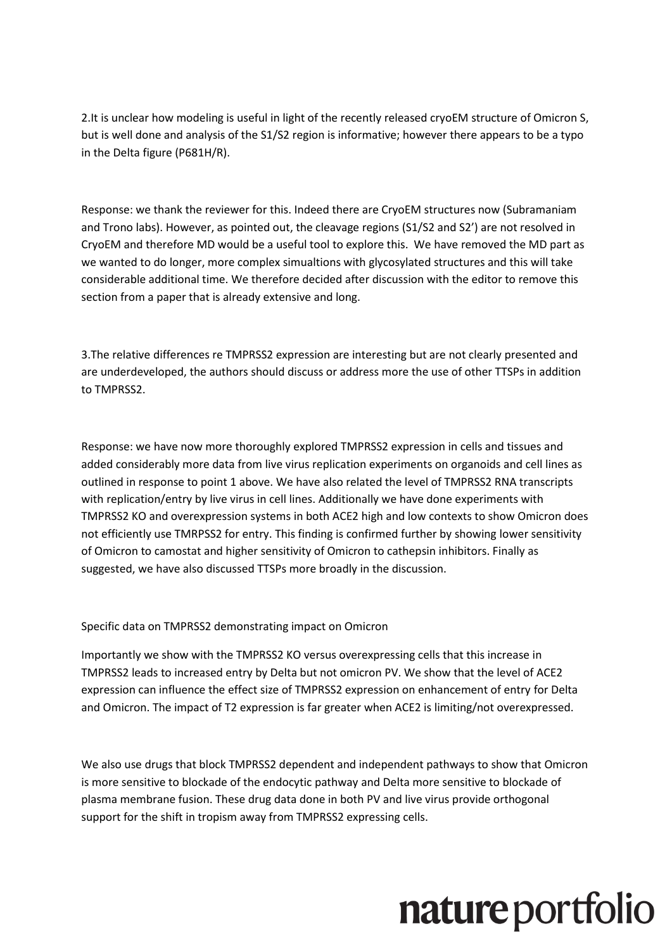2. It is unclear how modeling is useful in light of the recently released cryoEM structure of Omicron S, but is well done and analysis of the S1/S2 region is informative; however there appears to be a typo in the Delta figure (P681H/R).

Response: we thank the reviewer for this. Indeed there are CryoEM structures now (Subramaniam and Trono labs). However, as pointed out, the cleavage regions (S1/S2 and S2') are not resolved in CryoEM and therefore MD would be a useful tool to explore this. We have removed the MD part as we wanted to do longer, more complex simualtions with glycosylated structures and this will take considerable additional time. We therefore decided after discussion with the editor to remove this section from a paper that is already extensive and long.

3.The relative differences re TMPRSS2 expression are interesting but are not clearly presented and are underdeveloped, the authors should discuss or address more the use of other TTSPs in addition to TMPRSS2.

Response: we have now more thoroughly explored TMPRSS2 expression in cells and tissues and added considerably more data from live virus replication experiments on organoids and cell lines as outlined in response to point 1 above. We have also related the level of TMPRSS2 RNA transcripts with replication/entry by live virus in cell lines. Additionally we have done experiments with TMPRSS2 KO and overexpression systems in both ACE2 high and low contexts to show Omicron does not efficiently use TMRPSS2 for entry. This finding is confirmed further by showing lower sensitivity of Omicron to camostat and higher sensitivity of Omicron to cathepsin inhibitors. Finally as suggested, we have also discussed TTSPs more broadly in the discussion.

Specific data on TMPRSS2 demonstrating impact on Omicron

Importantly we show with the TMPRSS2 KO versus overexpressing cells that this increase in TMPRSS2 leads to increased entry by Delta but not omicron PV. We show that the level of ACE2 expression can influence the effect size of TMPRSS2 expression on enhancement of entry for Delta and Omicron. The impact of T2 expression is far greater when ACE2 is limiting/not overexpressed.

We also use drugs that block TMPRSS2 dependent and independent pathways to show that Omicron is more sensitive to blockade of the endocytic pathway and Delta more sensitive to blockade of plasma membrane fusion. These drug data done in both PV and live virus provide orthogonal support for the shift in tropism away from TMPRSS2 expressing cells.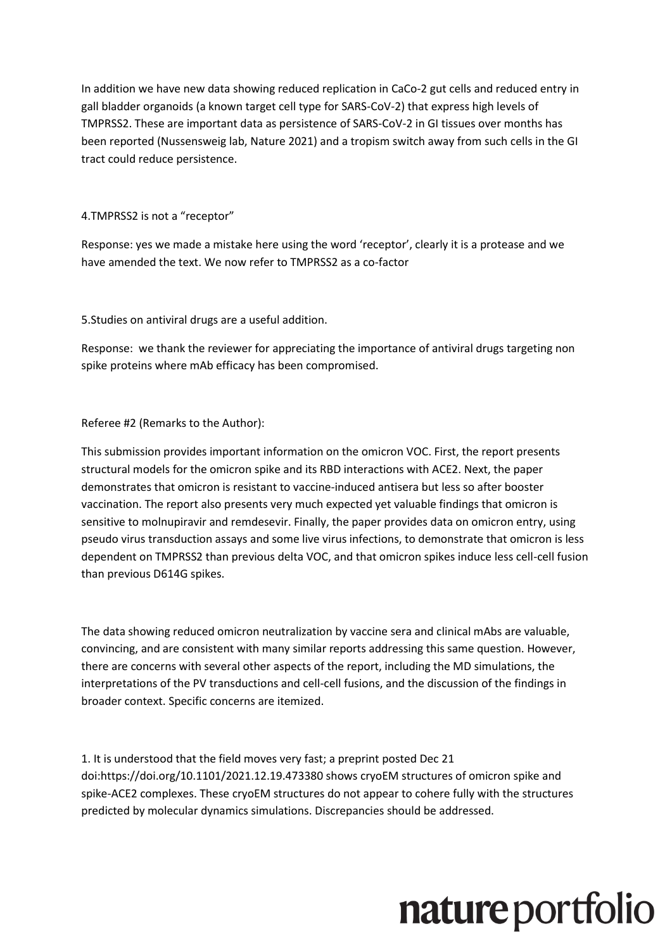In addition we have new data showing reduced replication in CaCo-2 gut cells and reduced entry in gall bladder organoids (a known target cell type for SARS-CoV-2) that express high levels of TMPRSS2. These are important data as persistence of SARS-CoV-2 in GI tissues over months has been reported (Nussensweig lab, Nature 2021) and a tropism switch away from such cells in the GI tract could reduce persistence.

#### 4.TMPRSS2 is not a "receptor"

Response: yes we made a mistake here using the word 'receptor', clearly it is a protease and we have amended the text. We now refer to TMPRSS2 as a co-factor

5.Studies on antiviral drugs are a useful addition.

Response: we thank the reviewer for appreciating the importance of antiviral drugs targeting non spike proteins where mAb efficacy has been compromised.

#### Referee #2 (Remarks to the Author):

This submission provides important information on the omicron VOC. First, the report presents structural models for the omicron spike and its RBD interactions with ACE2. Next, the paper demonstrates that omicron is resistant to vaccine-induced antisera but less so after booster vaccination. The report also presents very much expected yet valuable findings that omicron is sensitive to molnupiravir and remdesevir. Finally, the paper provides data on omicron entry, using pseudo virus transduction assays and some live virus infections, to demonstrate that omicron is less dependent on TMPRSS2 than previous delta VOC, and that omicron spikes induce less cell-cell fusion than previous D614G spikes.

The data showing reduced omicron neutralization by vaccine sera and clinical mAbs are valuable, convincing, and are consistent with many similar reports addressing this same question. However, there are concerns with several other aspects of the report, including the MD simulations, the interpretations of the PV transductions and cell-cell fusions, and the discussion of the findings in broader context. Specific concerns are itemized.

1. It is understood that the field moves very fast; a preprint posted Dec 21 doi:https://doi.org/10.1101/2021.12.19.473380 shows cryoEM structures of omicron spike and spike-ACE2 complexes. These cryoEM structures do not appear to cohere fully with the structures predicted by molecular dynamics simulations. Discrepancies should be addressed.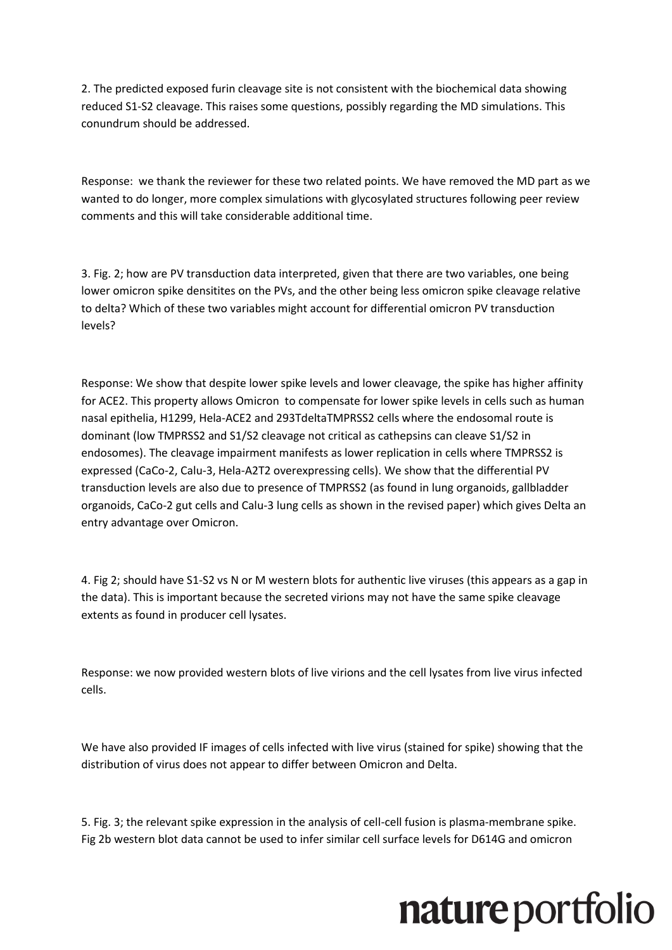2. The predicted exposed furin cleavage site is not consistent with the biochemical data showing reduced S1-S2 cleavage. This raises some questions, possibly regarding the MD simulations. This conundrum should be addressed.

Response: we thank the reviewer for these two related points. We have removed the MD part as we wanted to do longer, more complex simulations with glycosylated structures following peer review comments and this will take considerable additional time.

3. Fig. 2; how are PV transduction data interpreted, given that there are two variables, one being lower omicron spike densitites on the PVs, and the other being less omicron spike cleavage relative to delta? Which of these two variables might account for differential omicron PV transduction levels?

Response: We show that despite lower spike levels and lower cleavage, the spike has higher affinity for ACE2. This property allows Omicron to compensate for lower spike levels in cells such as human nasal epithelia, H1299, Hela-ACE2 and 293TdeltaTMPRSS2 cells where the endosomal route is dominant (low TMPRSS2 and S1/S2 cleavage not critical as cathepsins can cleave S1/S2 in endosomes). The cleavage impairment manifests as lower replication in cells where TMPRSS2 is expressed (CaCo-2, Calu-3, Hela-A2T2 overexpressing cells). We show that the differential PV transduction levels are also due to presence of TMPRSS2 (as found in lung organoids, gallbladder organoids, CaCo-2 gut cells and Calu-3 lung cells as shown in the revised paper) which gives Delta an entry advantage over Omicron.

4. Fig 2; should have S1-S2 vs N or M western blots for authentic live viruses (this appears as a gap in the data). This is important because the secreted virions may not have the same spike cleavage extents as found in producer cell lysates.

Response: we now provided western blots of live virions and the cell lysates from live virus infected cells.

We have also provided IF images of cells infected with live virus (stained for spike) showing that the distribution of virus does not appear to differ between Omicron and Delta.

5. Fig. 3; the relevant spike expression in the analysis of cell-cell fusion is plasma-membrane spike. Fig 2b western blot data cannot be used to infer similar cell surface levels for D614G and omicron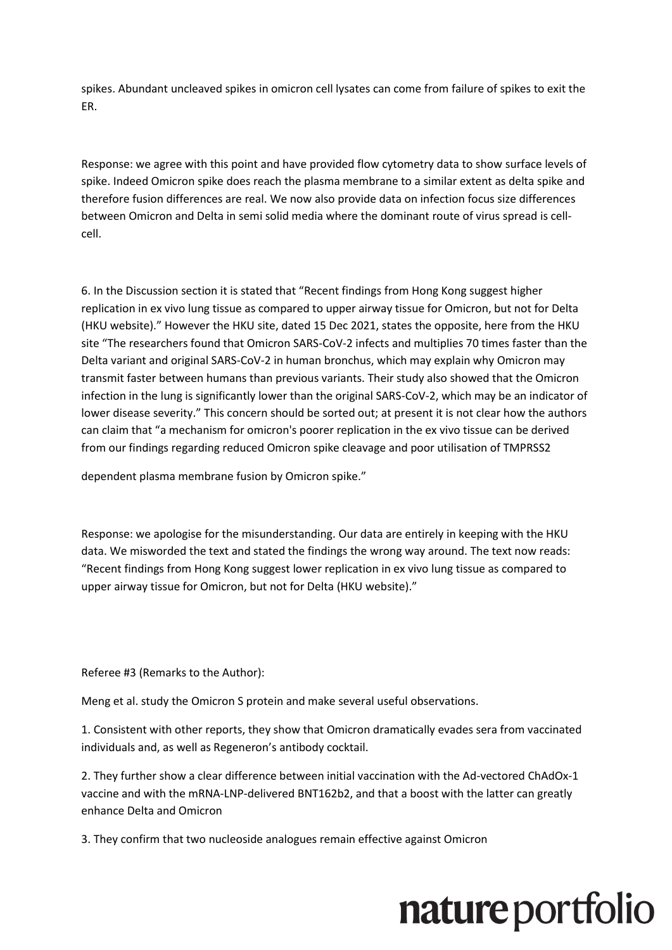spikes. Abundant uncleaved spikes in omicron cell lysates can come from failure of spikes to exit the ER.

Response: we agree with this point and have provided flow cytometry data to show surface levels of spike. Indeed Omicron spike does reach the plasma membrane to a similar extent as delta spike and therefore fusion differences are real. We now also provide data on infection focus size differences between Omicron and Delta in semi solid media where the dominant route of virus spread is cellcell.

6. In the Discussion section it is stated that "Recent findings from Hong Kong suggest higher replication in ex vivo lung tissue as compared to upper airway tissue for Omicron, but not for Delta (HKU website)." However the HKU site, dated 15 Dec 2021, states the opposite, here from the HKU site "The researchers found that Omicron SARS-CoV-2 infects and multiplies 70 times faster than the Delta variant and original SARS-CoV-2 in human bronchus, which may explain why Omicron may transmit faster between humans than previous variants. Their study also showed that the Omicron infection in the lung is significantly lower than the original SARS-CoV-2, which may be an indicator of lower disease severity." This concern should be sorted out; at present it is not clear how the authors can claim that "a mechanism for omicron's poorer replication in the ex vivo tissue can be derived from our findings regarding reduced Omicron spike cleavage and poor utilisation of TMPRSS2

dependent plasma membrane fusion by Omicron spike."

Response: we apologise for the misunderstanding. Our data are entirely in keeping with the HKU data. We misworded the text and stated the findings the wrong way around. The text now reads: "Recent findings from Hong Kong suggest lower replication in ex vivo lung tissue as compared to upper airway tissue for Omicron, but not for Delta (HKU website)."

Referee #3 (Remarks to the Author):

Meng et al. study the Omicron S protein and make several useful observations.

1. Consistent with other reports, they show that Omicron dramatically evades sera from vaccinated individuals and, as well as Regeneron's antibody cocktail.

2. They further show a clear difference between initial vaccination with the Ad-vectored ChAdOx-1 vaccine and with the mRNA-LNP-delivered BNT162b2, and that a boost with the latter can greatly enhance Delta and Omicron

3. They confirm that two nucleoside analogues remain effective against Omicron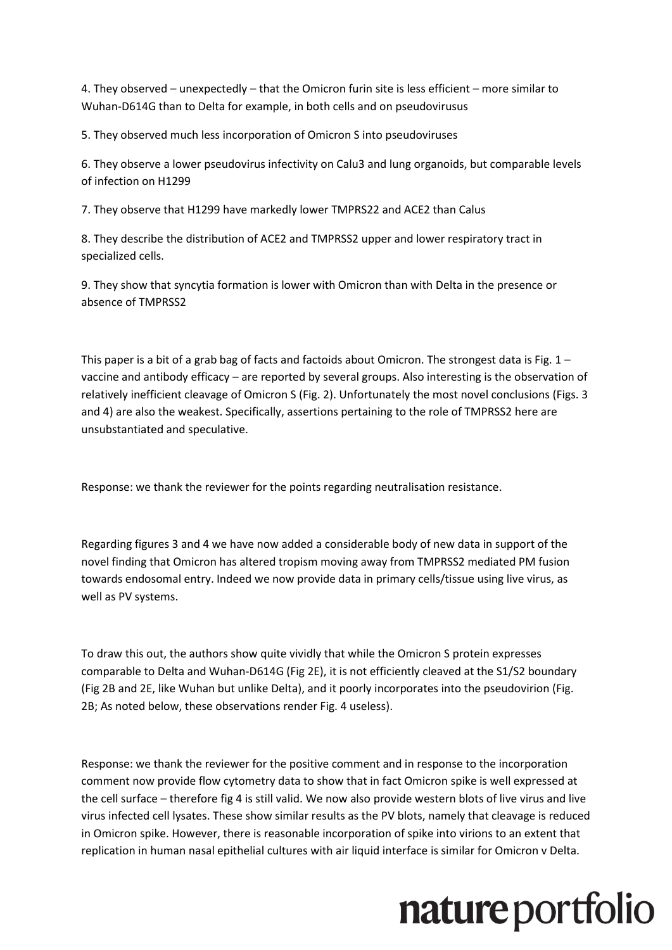4. They observed – unexpectedly – that the Omicron furin site is less efficient – more similar to Wuhan-D614G than to Delta for example, in both cells and on pseudovirusus

5. They observed much less incorporation of Omicron S into pseudoviruses

6. They observe a lower pseudovirus infectivity on Calu3 and lung organoids, but comparable levels of infection on H1299

7. They observe that H1299 have markedly lower TMPRS22 and ACE2 than Calus

8. They describe the distribution of ACE2 and TMPRSS2 upper and lower respiratory tract in specialized cells.

9. They show that syncytia formation is lower with Omicron than with Delta in the presence or absence of TMPRSS2

This paper is a bit of a grab bag of facts and factoids about Omicron. The strongest data is Fig.  $1$ vaccine and antibody efficacy – are reported by several groups. Also interesting is the observation of relatively inefficient cleavage of Omicron S (Fig. 2). Unfortunately the most novel conclusions (Figs. 3 and 4) are also the weakest. Specifically, assertions pertaining to the role of TMPRSS2 here are unsubstantiated and speculative.

Response: we thank the reviewer for the points regarding neutralisation resistance.

Regarding figures 3 and 4 we have now added a considerable body of new data in support of the novel finding that Omicron has altered tropism moving away from TMPRSS2 mediated PM fusion towards endosomal entry. Indeed we now provide data in primary cells/tissue using live virus, as well as PV systems.

To draw this out, the authors show quite vividly that while the Omicron S protein expresses comparable to Delta and Wuhan-D614G (Fig 2E), it is not efficiently cleaved at the S1/S2 boundary (Fig 2B and 2E, like Wuhan but unlike Delta), and it poorly incorporates into the pseudovirion (Fig. 2B; As noted below, these observations render Fig. 4 useless).

Response: we thank the reviewer for the positive comment and in response to the incorporation comment now provide flow cytometry data to show that in fact Omicron spike is well expressed at the cell surface – therefore fig 4 is still valid. We now also provide western blots of live virus and live virus infected cell lysates. These show similar results as the PV blots, namely that cleavage is reduced in Omicron spike. However, there is reasonable incorporation of spike into virions to an extent that replication in human nasal epithelial cultures with air liquid interface is similar for Omicron v Delta.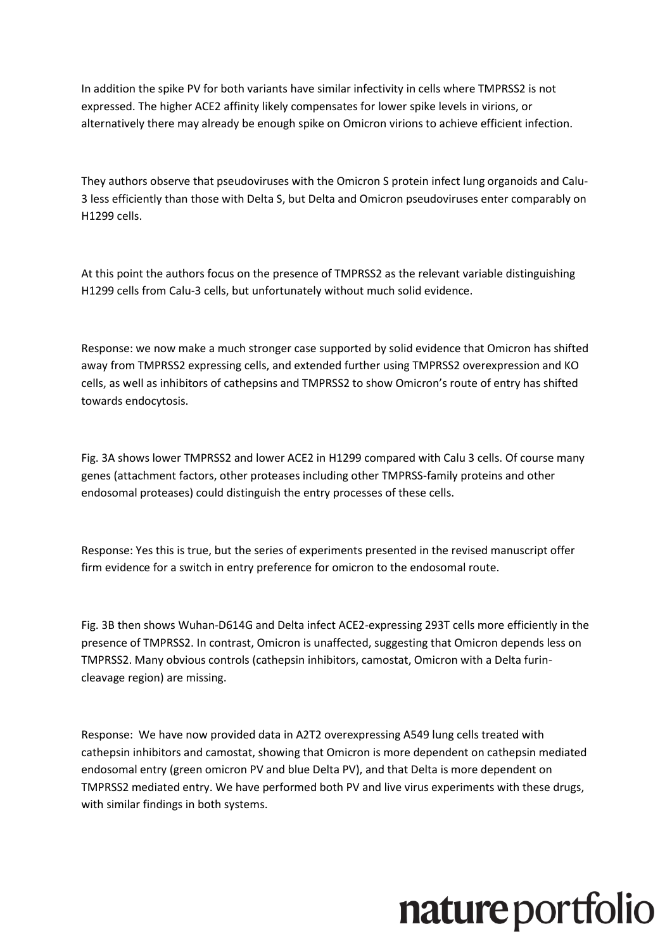In addition the spike PV for both variants have similar infectivity in cells where TMPRSS2 is not expressed. The higher ACE2 affinity likely compensates for lower spike levels in virions, or alternatively there may already be enough spike on Omicron virions to achieve efficient infection.

They authors observe that pseudoviruses with the Omicron S protein infect lung organoids and Calu-3 less efficiently than those with Delta S, but Delta and Omicron pseudoviruses enter comparably on H1299 cells.

At this point the authors focus on the presence of TMPRSS2 as the relevant variable distinguishing H1299 cells from Calu-3 cells, but unfortunately without much solid evidence.

Response: we now make a much stronger case supported by solid evidence that Omicron has shifted away from TMPRSS2 expressing cells, and extended further using TMPRSS2 overexpression and KO cells, as well as inhibitors of cathepsins and TMPRSS2 to show Omicron's route of entry has shifted towards endocytosis.

Fig. 3A shows lower TMPRSS2 and lower ACE2 in H1299 compared with Calu 3 cells. Of course many genes (attachment factors, other proteases including other TMPRSS-family proteins and other endosomal proteases) could distinguish the entry processes of these cells.

Response: Yes this is true, but the series of experiments presented in the revised manuscript offer firm evidence for a switch in entry preference for omicron to the endosomal route.

Fig. 3B then shows Wuhan-D614G and Delta infect ACE2-expressing 293T cells more efficiently in the presence of TMPRSS2. In contrast, Omicron is unaffected, suggesting that Omicron depends less on TMPRSS2. Many obvious controls (cathepsin inhibitors, camostat, Omicron with a Delta furincleavage region) are missing.

Response: We have now provided data in A2T2 overexpressing A549 lung cells treated with cathepsin inhibitors and camostat, showing that Omicron is more dependent on cathepsin mediated endosomal entry (green omicron PV and blue Delta PV), and that Delta is more dependent on TMPRSS2 mediated entry. We have performed both PV and live virus experiments with these drugs, with similar findings in both systems.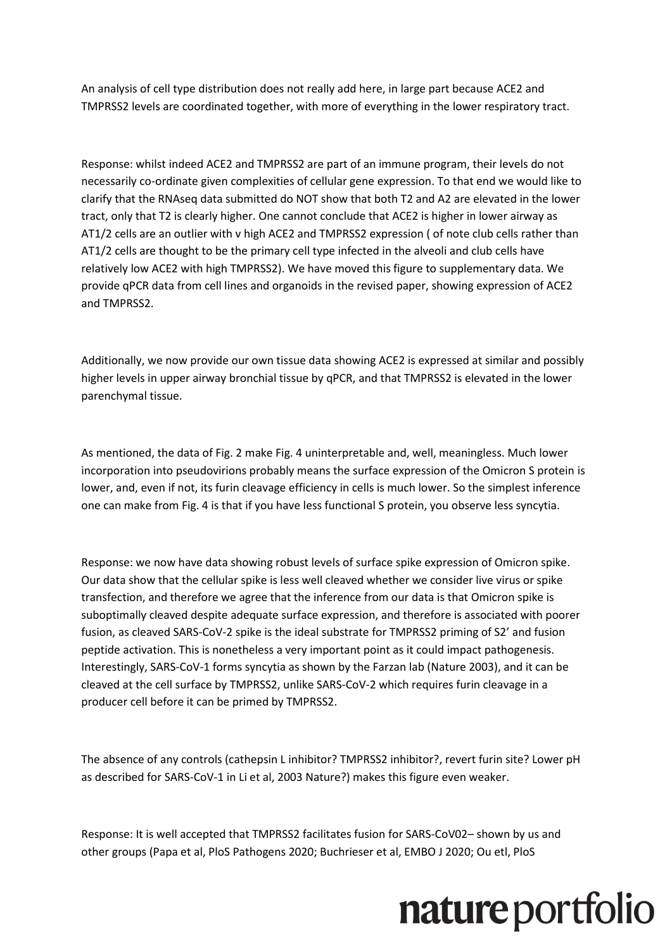An analysis of cell type distribution does not really add here, in large part because ACE2 and TMPRSS2 levels are coordinated together, with more of everything in the lower respiratory tract.

Response: whilst indeed ACE2 and TMPRSS2 are part of an immune program, their levels do not necessarily co-ordinate given complexities of cellular gene expression. To that end we would like to clarify that the RNAseq data submitted do NOT show that both T2 and A2 are elevated in the lower tract, only that T2 is clearly higher. One cannot conclude that ACE2 is higher in lower airway as AT1/2 cells are an outlier with v high ACE2 and TMPRSS2 expression ( of note club cells rather than AT1/2 cells are thought to be the primary cell type infected in the alveoli and club cells have relatively low ACE2 with high TMPRSS2). We have moved this figure to supplementary data. We provide qPCR data from cell lines and organoids in the revised paper, showing expression of ACE2 and TMPRSS2.

Additionally, we now provide our own tissue data showing ACE2 is expressed at similar and possibly higher levels in upper airway bronchial tissue by qPCR, and that TMPRSS2 is elevated in the lower parenchymal tissue.

As mentioned, the data of Fig. 2 make Fig. 4 uninterpretable and, well, meaningless. Much lower incorporation into pseudovirions probably means the surface expression of the Omicron S protein is lower, and, even if not, its furin cleavage efficiency in cells is much lower. So the simplest inference one can make from Fig. 4 is that if you have less functional S protein, you observe less syncytia.

Response: we now have data showing robust levels of surface spike expression of Omicron spike. Our data show that the cellular spike is less well cleaved whether we consider live virus or spike transfection, and therefore we agree that the inference from our data is that Omicron spike is suboptimally cleaved despite adequate surface expression, and therefore is associated with poorer fusion, as cleaved SARS-CoV-2 spike is the ideal substrate for TMPRSS2 priming of S2' and fusion peptide activation. This is nonetheless a very important point as it could impact pathogenesis. Interestingly, SARS-CoV-1 forms syncytia as shown by the Farzan lab (Nature 2003), and it can be cleaved at the cell surface by TMPRSS2, unlike SARS-CoV-2 which requires furin cleavage in a producer cell before it can be primed by TMPRSS2.

The absence of any controls (cathepsin L inhibitor? TMPRSS2 inhibitor?, revert furin site? Lower pH as described for SARS-CoV-1 in Li et al, 2003 Nature?) makes this figure even weaker.

Response: It is well accepted that TMPRSS2 facilitates fusion for SARS-CoV02– shown by us and other groups (Papa et al, PloS Pathogens 2020; Buchrieser et al, EMBO J 2020; Ou etl, PloS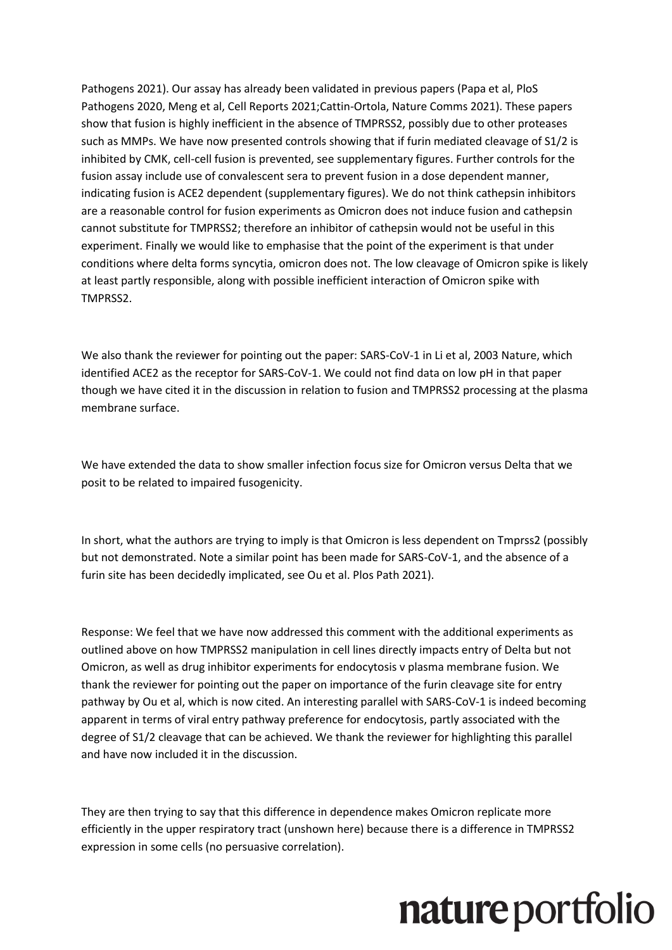Pathogens 2021). Our assay has already been validated in previous papers (Papa et al, PloS Pathogens 2020, Meng et al, Cell Reports 2021;Cattin-Ortola, Nature Comms 2021). These papers show that fusion is highly inefficient in the absence of TMPRSS2, possibly due to other proteases such as MMPs. We have now presented controls showing that if furin mediated cleavage of S1/2 is inhibited by CMK, cell-cell fusion is prevented, see supplementary figures. Further controls for the fusion assay include use of convalescent sera to prevent fusion in a dose dependent manner, indicating fusion is ACE2 dependent (supplementary figures). We do not think cathepsin inhibitors are a reasonable control for fusion experiments as Omicron does not induce fusion and cathepsin cannot substitute for TMPRSS2; therefore an inhibitor of cathepsin would not be useful in this experiment. Finally we would like to emphasise that the point of the experiment is that under conditions where delta forms syncytia, omicron does not. The low cleavage of Omicron spike is likely at least partly responsible, along with possible inefficient interaction of Omicron spike with TMPRSS2.

We also thank the reviewer for pointing out the paper: SARS-CoV-1 in Li et al, 2003 Nature, which identified ACE2 as the receptor for SARS-CoV-1. We could not find data on low pH in that paper though we have cited it in the discussion in relation to fusion and TMPRSS2 processing at the plasma membrane surface.

We have extended the data to show smaller infection focus size for Omicron versus Delta that we posit to be related to impaired fusogenicity.

In short, what the authors are trying to imply is that Omicron is less dependent on Tmprss2 (possibly but not demonstrated. Note a similar point has been made for SARS-CoV-1, and the absence of a furin site has been decidedly implicated, see Ou et al. Plos Path 2021).

Response: We feel that we have now addressed this comment with the additional experiments as outlined above on how TMPRSS2 manipulation in cell lines directly impacts entry of Delta but not Omicron, as well as drug inhibitor experiments for endocytosis v plasma membrane fusion. We thank the reviewer for pointing out the paper on importance of the furin cleavage site for entry pathway by Ou et al, which is now cited. An interesting parallel with SARS-CoV-1 is indeed becoming apparent in terms of viral entry pathway preference for endocytosis, partly associated with the degree of S1/2 cleavage that can be achieved. We thank the reviewer for highlighting this parallel and have now included it in the discussion.

They are then trying to say that this difference in dependence makes Omicron replicate more efficiently in the upper respiratory tract (unshown here) because there is a difference in TMPRSS2 expression in some cells (no persuasive correlation).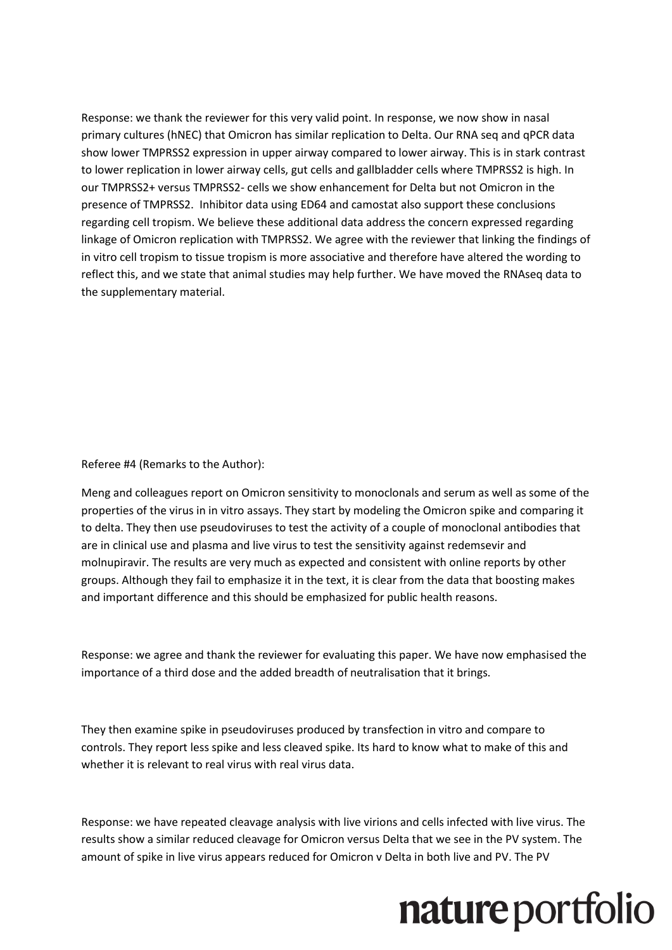Response: we thank the reviewer for this very valid point. In response, we now show in nasal primary cultures (hNEC) that Omicron has similar replication to Delta. Our RNA seq and qPCR data show lower TMPRSS2 expression in upper airway compared to lower airway. This is in stark contrast to lower replication in lower airway cells, gut cells and gallbladder cells where TMPRSS2 is high. In our TMPRSS2+ versus TMPRSS2- cells we show enhancement for Delta but not Omicron in the presence of TMPRSS2. Inhibitor data using ED64 and camostat also support these conclusions regarding cell tropism. We believe these additional data address the concern expressed regarding linkage of Omicron replication with TMPRSS2. We agree with the reviewer that linking the findings of in vitro cell tropism to tissue tropism is more associative and therefore have altered the wording to reflect this, and we state that animal studies may help further. We have moved the RNAseq data to the supplementary material.

Referee #4 (Remarks to the Author):

Meng and colleagues report on Omicron sensitivity to monoclonals and serum as well as some of the properties of the virus in in vitro assays. They start by modeling the Omicron spike and comparing it to delta. They then use pseudoviruses to test the activity of a couple of monoclonal antibodies that are in clinical use and plasma and live virus to test the sensitivity against redemsevir and molnupiravir. The results are very much as expected and consistent with online reports by other groups. Although they fail to emphasize it in the text, it is clear from the data that boosting makes and important difference and this should be emphasized for public health reasons.

Response: we agree and thank the reviewer for evaluating this paper. We have now emphasised the importance of a third dose and the added breadth of neutralisation that it brings.

They then examine spike in pseudoviruses produced by transfection in vitro and compare to controls. They report less spike and less cleaved spike. Its hard to know what to make of this and whether it is relevant to real virus with real virus data.

Response: we have repeated cleavage analysis with live virions and cells infected with live virus. The results show a similar reduced cleavage for Omicron versus Delta that we see in the PV system. The amount of spike in live virus appears reduced for Omicron v Delta in both live and PV. The PV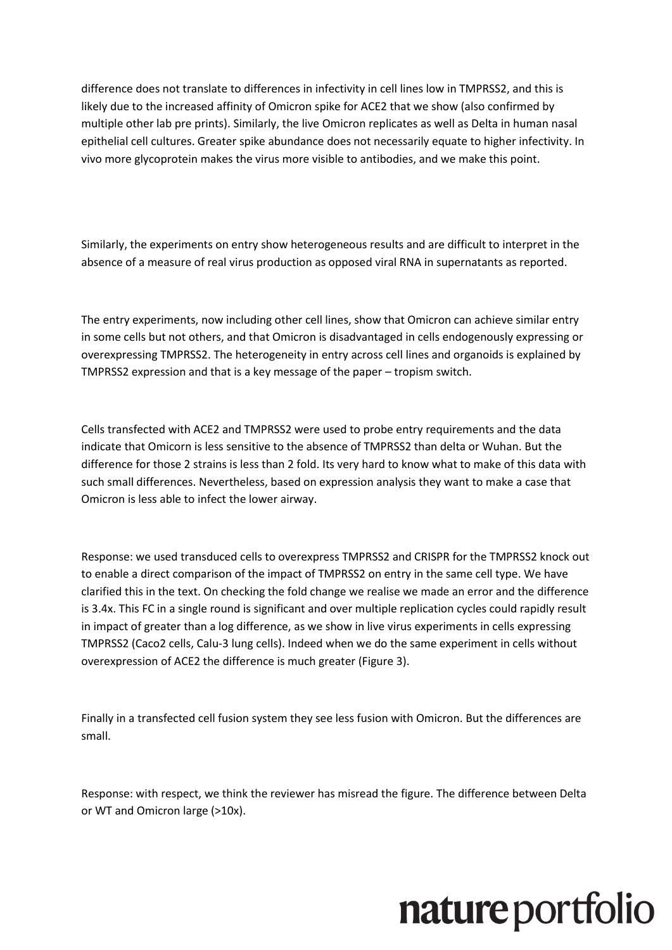difference does not translate to differences in infectivity in cell lines low in TMPRSS2, and this is likely due to the increased affinity of Omicron spike for ACE2 that we show (also confirmed by multiple other lab pre prints). Similarly, the live Omicron replicates as well as Delta in human nasal epithelial cell cultures. Greater spike abundance does not necessarily equate to higher infectivity. In vivo more glycoprotein makes the virus more visible to antibodies, and we make this point.

Similarly, the experiments on entry show heterogeneous results and are difficult to interpret in the absence of a measure of real virus production as opposed viral RNA in supernatants as reported.

The entry experiments, now including other cell lines, show that Omicron can achieve similar entry in some cells but not others, and that Omicron is disadvantaged in cells endogenously expressing or overexpressing TMPRSS2. The heterogeneity in entry across cell lines and organoids is explained by TMPRSS2 expression and that is a key message of the paper – tropism switch.

Cells transfected with ACE2 and TMPRSS2 were used to probe entry requirements and the data indicate that Omicorn is less sensitive to the absence of TMPRSS2 than delta or Wuhan. But the difference for those 2 strains is less than 2 fold. Its very hard to know what to make of this data with such small differences. Nevertheless, based on expression analysis they want to make a case that Omicron is less able to infect the lower airway.

Response: we used transduced cells to overexpress TMPRSS2 and CRISPR for the TMPRSS2 knock out to enable a direct comparison of the impact of TMPRSS2 on entry in the same cell type. We have clarified this in the text. On checking the fold change we realise we made an error and the difference is 3.4x. This FC in a single round is significant and over multiple replication cycles could rapidly result in impact of greater than a log difference, as we show in live virus experiments in cells expressing TMPRSS2 (Caco2 cells, Calu-3 lung cells). Indeed when we do the same experiment in cells without overexpression of ACE2 the difference is much greater (Figure 3).

Finally in a transfected cell fusion system they see less fusion with Omicron. But the differences are small.

Response: with respect, we think the reviewer has misread the figure. The difference between Delta or WT and Omicron large (>10x).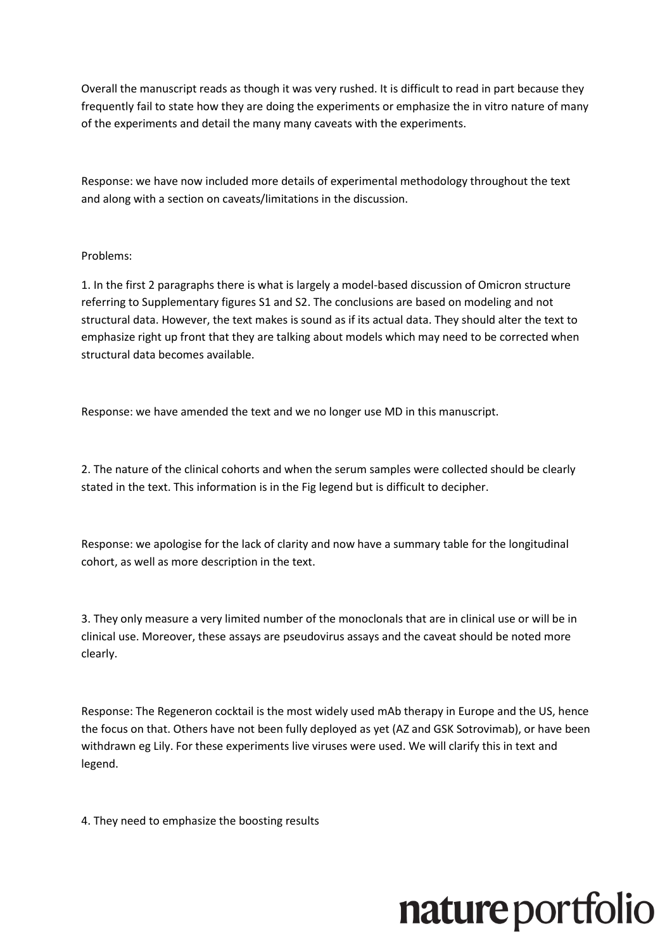Overall the manuscript reads as though it was very rushed. It is difficult to read in part because they frequently fail to state how they are doing the experiments or emphasize the in vitro nature of many of the experiments and detail the many many caveats with the experiments.

Response: we have now included more details of experimental methodology throughout the text and along with a section on caveats/limitations in the discussion.

#### Problems:

1. In the first 2 paragraphs there is what is largely a model-based discussion of Omicron structure referring to Supplementary figures S1 and S2. The conclusions are based on modeling and not structural data. However, the text makes is sound as if its actual data. They should alter the text to emphasize right up front that they are talking about models which may need to be corrected when structural data becomes available.

Response: we have amended the text and we no longer use MD in this manuscript.

2. The nature of the clinical cohorts and when the serum samples were collected should be clearly stated in the text. This information is in the Fig legend but is difficult to decipher.

Response: we apologise for the lack of clarity and now have a summary table for the longitudinal cohort, as well as more description in the text.

3. They only measure a very limited number of the monoclonals that are in clinical use or will be in clinical use. Moreover, these assays are pseudovirus assays and the caveat should be noted more clearly.

Response: The Regeneron cocktail is the most widely used mAb therapy in Europe and the US, hence the focus on that. Others have not been fully deployed as yet (AZ and GSK Sotrovimab), or have been withdrawn eg Lily. For these experiments live viruses were used. We will clarify this in text and legend.

4. They need to emphasize the boosting results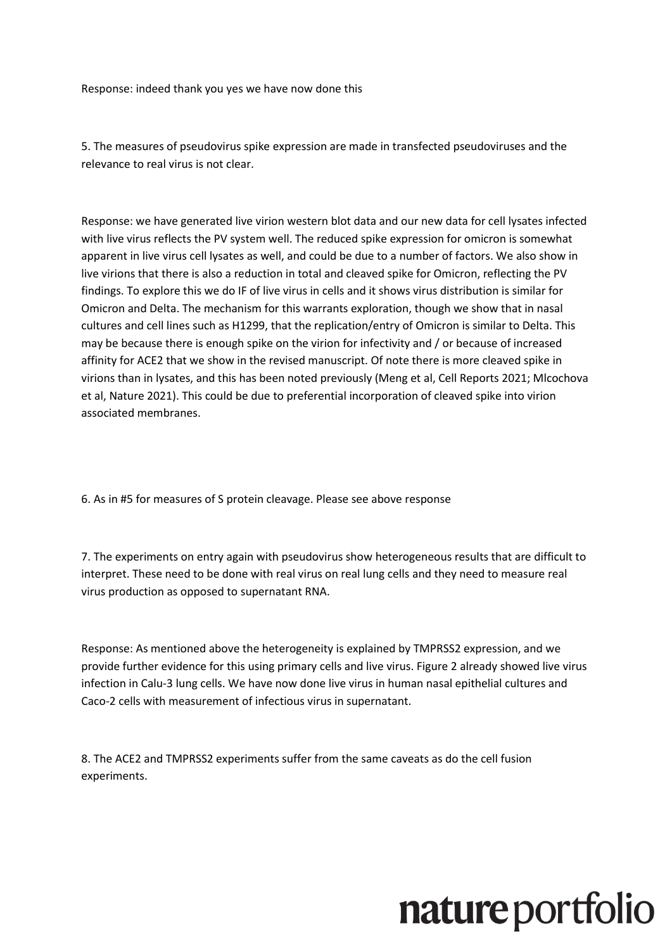Response: indeed thank you yes we have now done this

5. The measures of pseudovirus spike expression are made in transfected pseudoviruses and the relevance to real virus is not clear.

Response: we have generated live virion western blot data and our new data for cell lysates infected with live virus reflects the PV system well. The reduced spike expression for omicron is somewhat apparent in live virus cell lysates as well, and could be due to a number of factors. We also show in live virions that there is also a reduction in total and cleaved spike for Omicron, reflecting the PV findings. To explore this we do IF of live virus in cells and it shows virus distribution is similar for Omicron and Delta. The mechanism for this warrants exploration, though we show that in nasal cultures and cell lines such as H1299, that the replication/entry of Omicron is similar to Delta. This may be because there is enough spike on the virion for infectivity and / or because of increased affinity for ACE2 that we show in the revised manuscript. Of note there is more cleaved spike in virions than in lysates, and this has been noted previously (Meng et al, Cell Reports 2021; Mlcochova et al, Nature 2021). This could be due to preferential incorporation of cleaved spike into virion associated membranes.

6. As in #5 for measures of S protein cleavage. Please see above response

7. The experiments on entry again with pseudovirus show heterogeneous results that are difficult to interpret. These need to be done with real virus on real lung cells and they need to measure real virus production as opposed to supernatant RNA.

Response: As mentioned above the heterogeneity is explained by TMPRSS2 expression, and we provide further evidence for this using primary cells and live virus. Figure 2 already showed live virus infection in Calu-3 lung cells. We have now done live virus in human nasal epithelial cultures and Caco-2 cells with measurement of infectious virus in supernatant.

8. The ACE2 and TMPRSS2 experiments suffer from the same caveats as do the cell fusion experiments.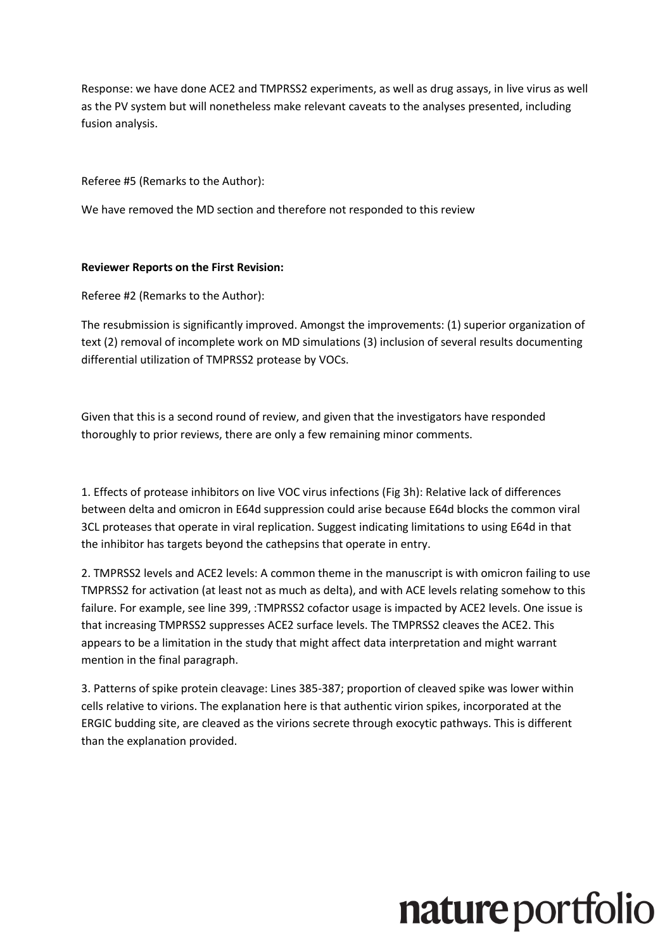Response: we have done ACE2 and TMPRSS2 experiments, as well as drug assays, in live virus as well as the PV system but will nonetheless make relevant caveats to the analyses presented, including fusion analysis.

Referee #5 (Remarks to the Author):

We have removed the MD section and therefore not responded to this review

#### **Reviewer Reports on the First Revision:**

Referee #2 (Remarks to the Author):

The resubmission is significantly improved. Amongst the improvements: (1) superior organization of text (2) removal of incomplete work on MD simulations (3) inclusion of several results documenting differential utilization of TMPRSS2 protease by VOCs.

Given that this is a second round of review, and given that the investigators have responded thoroughly to prior reviews, there are only a few remaining minor comments.

1. Effects of protease inhibitors on live VOC virus infections (Fig 3h): Relative lack of differences between delta and omicron in E64d suppression could arise because E64d blocks the common viral 3CL proteases that operate in viral replication. Suggest indicating limitations to using E64d in that the inhibitor has targets beyond the cathepsins that operate in entry.

2. TMPRSS2 levels and ACE2 levels: A common theme in the manuscript is with omicron failing to use TMPRSS2 for activation (at least not as much as delta), and with ACE levels relating somehow to this failure. For example, see line 399, :TMPRSS2 cofactor usage is impacted by ACE2 levels. One issue is that increasing TMPRSS2 suppresses ACE2 surface levels. The TMPRSS2 cleaves the ACE2. This appears to be a limitation in the study that might affect data interpretation and might warrant mention in the final paragraph.

3. Patterns of spike protein cleavage: Lines 385-387; proportion of cleaved spike was lower within cells relative to virions. The explanation here is that authentic virion spikes, incorporated at the ERGIC budding site, are cleaved as the virions secrete through exocytic pathways. This is different than the explanation provided.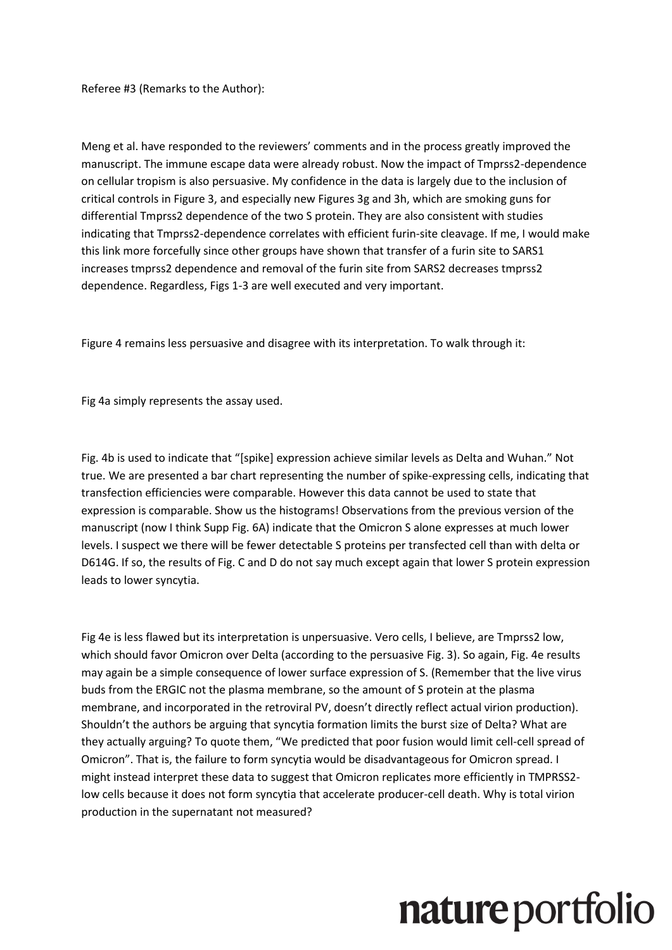Referee #3 (Remarks to the Author):

Meng et al. have responded to the reviewers' comments and in the process greatly improved the manuscript. The immune escape data were already robust. Now the impact of Tmprss2-dependence on cellular tropism is also persuasive. My confidence in the data is largely due to the inclusion of critical controls in Figure 3, and especially new Figures 3g and 3h, which are smoking guns for differential Tmprss2 dependence of the two S protein. They are also consistent with studies indicating that Tmprss2-dependence correlates with efficient furin-site cleavage. If me, I would make this link more forcefully since other groups have shown that transfer of a furin site to SARS1 increases tmprss2 dependence and removal of the furin site from SARS2 decreases tmprss2 dependence. Regardless, Figs 1-3 are well executed and very important.

Figure 4 remains less persuasive and disagree with its interpretation. To walk through it:

Fig 4a simply represents the assay used.

Fig. 4b is used to indicate that "[spike] expression achieve similar levels as Delta and Wuhan." Not true. We are presented a bar chart representing the number of spike-expressing cells, indicating that transfection efficiencies were comparable. However this data cannot be used to state that expression is comparable. Show us the histograms! Observations from the previous version of the manuscript (now I think Supp Fig. 6A) indicate that the Omicron S alone expresses at much lower levels. I suspect we there will be fewer detectable S proteins per transfected cell than with delta or D614G. If so, the results of Fig. C and D do not say much except again that lower S protein expression leads to lower syncytia.

Fig 4e is less flawed but its interpretation is unpersuasive. Vero cells, I believe, are Tmprss2 low, which should favor Omicron over Delta (according to the persuasive Fig. 3). So again, Fig. 4e results may again be a simple consequence of lower surface expression of S. (Remember that the live virus buds from the ERGIC not the plasma membrane, so the amount of S protein at the plasma membrane, and incorporated in the retroviral PV, doesn't directly reflect actual virion production). Shouldn't the authors be arguing that syncytia formation limits the burst size of Delta? What are they actually arguing? To quote them, "We predicted that poor fusion would limit cell-cell spread of Omicron". That is, the failure to form syncytia would be disadvantageous for Omicron spread. I might instead interpret these data to suggest that Omicron replicates more efficiently in TMPRSS2 low cells because it does not form syncytia that accelerate producer-cell death. Why is total virion production in the supernatant not measured?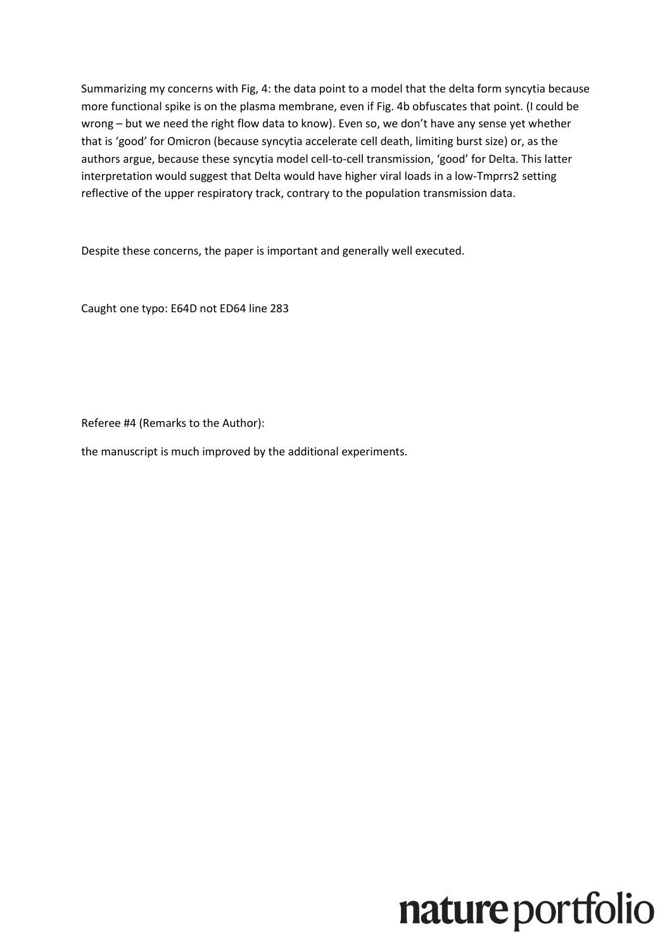Summarizing my concerns with Fig, 4: the data point to a model that the delta form syncytia because more functional spike is on the plasma membrane, even if Fig. 4b obfuscates that point. (I could be wrong – but we need the right flow data to know). Even so, we don't have any sense yet whether that is 'good' for Omicron (because syncytia accelerate cell death, limiting burst size) or, as the authors argue, because these syncytia model cell-to-cell transmission, 'good' for Delta. This latter interpretation would suggest that Delta would have higher viral loads in a low-Tmprrs2 setting reflective of the upper respiratory track, contrary to the population transmission data.

Despite these concerns, the paper is important and generally well executed.

Caught one typo: E64D not ED64 line 283

Referee #4 (Remarks to the Author):

the manuscript is much improved by the additional experiments.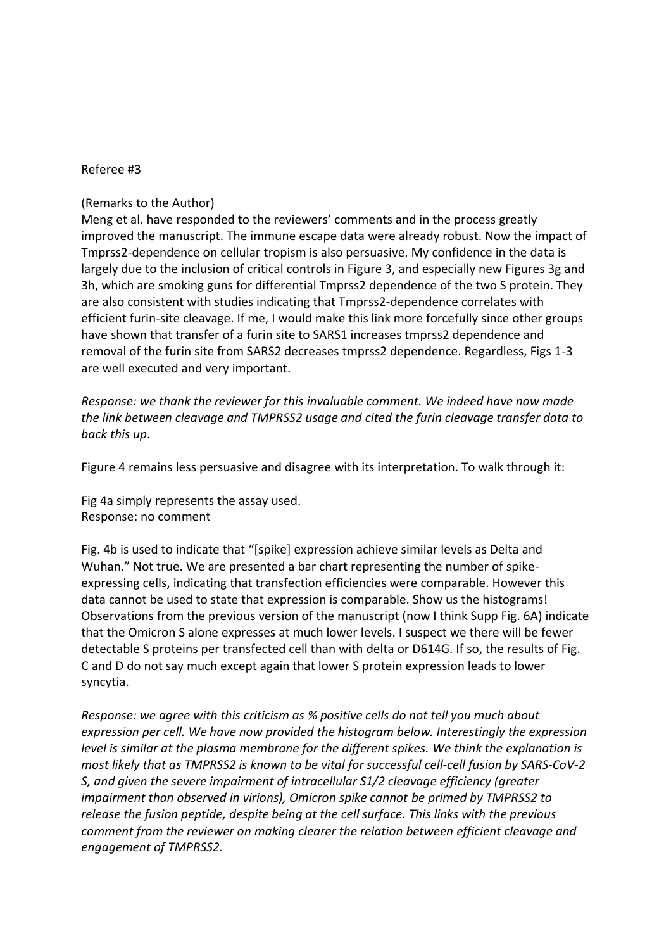#### Referee #3

#### (Remarks to the Author)

Meng et al. have responded to the reviewers' comments and in the process greatly improved the manuscript. The immune escape data were already robust. Now the impact of Tmprss2-dependence on cellular tropism is also persuasive. My confidence in the data is largely due to the inclusion of critical controls in Figure 3, and especially new Figures 3g and 3h, which are smoking guns for differential Tmprss2 dependence of the two S protein. They are also consistent with studies indicating that Tmprss2-dependence correlates with efficient furin-site cleavage. If me, I would make this link more forcefully since other groups have shown that transfer of a furin site to SARS1 increases tmprss2 dependence and removal of the furin site from SARS2 decreases tmprss2 dependence. Regardless, Figs 1-3 are well executed and very important.

*Response: we thank the reviewer for this invaluable comment. We indeed have now made the link between cleavage and TMPRSS2 usage and cited the furin cleavage transfer data to back this up.*

Figure 4 remains less persuasive and disagree with its interpretation. To walk through it:

Fig 4a simply represents the assay used. Response: no comment

Fig. 4b is used to indicate that "[spike] expression achieve similar levels as Delta and Wuhan." Not true. We are presented a bar chart representing the number of spikeexpressing cells, indicating that transfection efficiencies were comparable. However this data cannot be used to state that expression is comparable. Show us the histograms! Observations from the previous version of the manuscript (now I think Supp Fig. 6A) indicate that the Omicron S alone expresses at much lower levels. I suspect we there will be fewer detectable S proteins per transfected cell than with delta or D614G. If so, the results of Fig. C and D do not say much except again that lower S protein expression leads to lower syncytia.

*Response: we agree with this criticism as % positive cells do not tell you much about expression per cell. We have now provided the histogram below. Interestingly the expression level is similar at the plasma membrane for the different spikes. We think the explanation is most likely that as TMPRSS2 is known to be vital for successful cell-cell fusion by SARS-CoV-2 S, and given the severe impairment of intracellular S1/2 cleavage efficiency (greater impairment than observed in virions), Omicron spike cannot be primed by TMPRSS2 to release the fusion peptide, despite being at the cell surface. This links with the previous comment from the reviewer on making clearer the relation between efficient cleavage and engagement of TMPRSS2.*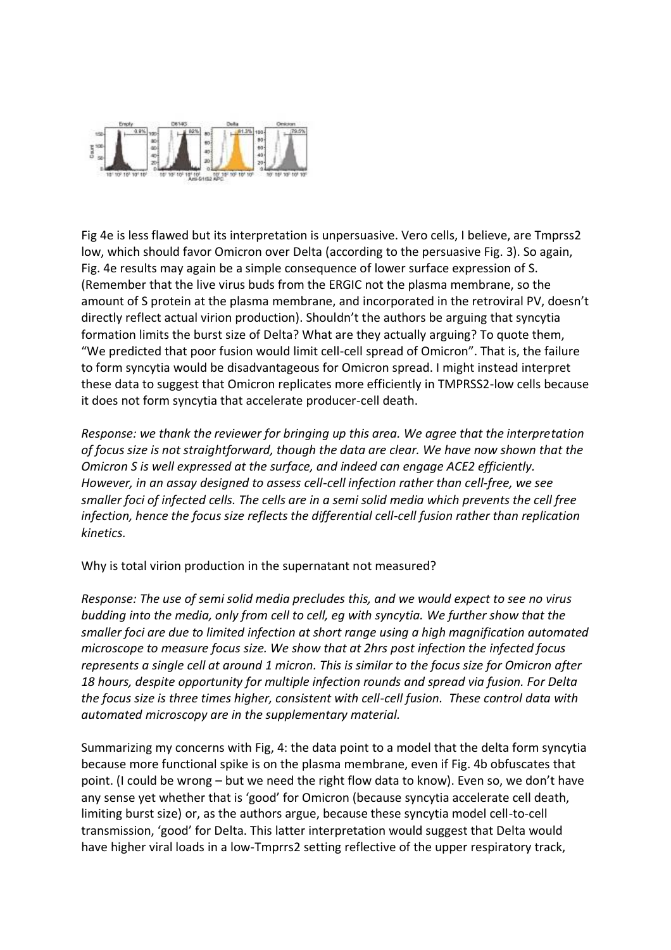

Fig 4e is less flawed but its interpretation is unpersuasive. Vero cells, I believe, are Tmprss2 low, which should favor Omicron over Delta (according to the persuasive Fig. 3). So again, Fig. 4e results may again be a simple consequence of lower surface expression of S. (Remember that the live virus buds from the ERGIC not the plasma membrane, so the amount of S protein at the plasma membrane, and incorporated in the retroviral PV, doesn't directly reflect actual virion production). Shouldn't the authors be arguing that syncytia formation limits the burst size of Delta? What are they actually arguing? To quote them, "We predicted that poor fusion would limit cell-cell spread of Omicron". That is, the failure to form syncytia would be disadvantageous for Omicron spread. I might instead interpret these data to suggest that Omicron replicates more efficiently in TMPRSS2-low cells because it does not form syncytia that accelerate producer-cell death.

*Response: we thank the reviewer for bringing up this area. We agree that the interpretation of focus size is not straightforward, though the data are clear. We have now shown that the Omicron S is well expressed at the surface, and indeed can engage ACE2 efficiently. However, in an assay designed to assess cell-cell infection rather than cell-free, we see smaller foci of infected cells. The cells are in a semi solid media which prevents the cell free infection, hence the focus size reflects the differential cell-cell fusion rather than replication kinetics.* 

Why is total virion production in the supernatant not measured?

*Response: The use of semi solid media precludes this, and we would expect to see no virus budding into the media, only from cell to cell, eg with syncytia. We further show that the smaller foci are due to limited infection at short range using a high magnification automated microscope to measure focus size. We show that at 2hrs post infection the infected focus represents a single cell at around 1 micron. This is similar to the focus size for Omicron after 18 hours, despite opportunity for multiple infection rounds and spread via fusion. For Delta the focus size is three times higher, consistent with cell-cell fusion. These control data with automated microscopy are in the supplementary material.*

Summarizing my concerns with Fig, 4: the data point to a model that the delta form syncytia because more functional spike is on the plasma membrane, even if Fig. 4b obfuscates that point. (I could be wrong – but we need the right flow data to know). Even so, we don't have any sense yet whether that is 'good' for Omicron (because syncytia accelerate cell death, limiting burst size) or, as the authors argue, because these syncytia model cell-to-cell transmission, 'good' for Delta. This latter interpretation would suggest that Delta would have higher viral loads in a low-Tmprrs2 setting reflective of the upper respiratory track,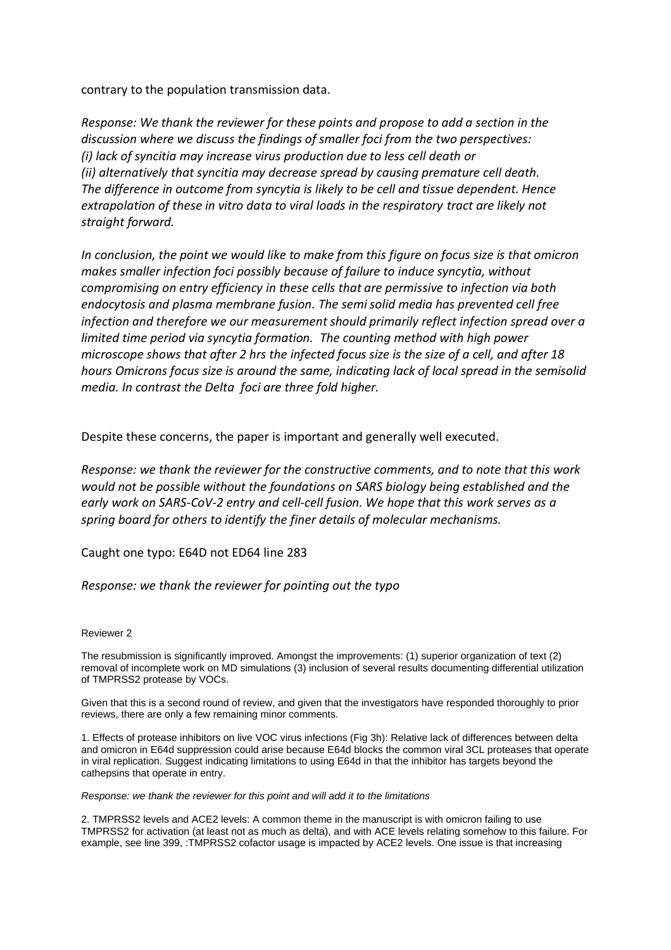contrary to the population transmission data.

*Response: We thank the reviewer for these points and propose to add a section in the discussion where we discuss the findings of smaller foci from the two perspectives: (i) lack of syncitia may increase virus production due to less cell death or (ii) alternatively that syncitia may decrease spread by causing premature cell death. The difference in outcome from syncytia is likely to be cell and tissue dependent. Hence extrapolation of these in vitro data to viral loads in the respiratory tract are likely not straight forward.*

*In conclusion, the point we would like to make from this figure on focus size is that omicron makes smaller infection foci possibly because of failure to induce syncytia, without compromising on entry efficiency in these cells that are permissive to infection via both endocytosis and plasma membrane fusion. The semi solid media has prevented cell free infection and therefore we our measurement should primarily reflect infection spread over a limited time period via syncytia formation. The counting method with high power microscope shows that after 2 hrs the infected focus size is the size of a cell, and after 18 hours Omicrons focus size is around the same, indicating lack of local spread in the semisolid media. In contrast the Delta foci are three fold higher.* 

Despite these concerns, the paper is important and generally well executed.

*Response: we thank the reviewer for the constructive comments, and to note that this work would not be possible without the foundations on SARS biology being established and the early work on SARS-CoV-2 entry and cell-cell fusion. We hope that this work serves as a spring board for others to identify the finer details of molecular mechanisms.*

Caught one typo: E64D not ED64 line 283

*Response: we thank the reviewer for pointing out the typo*

#### Reviewer 2

The resubmission is significantly improved. Amongst the improvements: (1) superior organization of text (2) removal of incomplete work on MD simulations (3) inclusion of several results documenting differential utilization of TMPRSS2 protease by VOCs.

Given that this is a second round of review, and given that the investigators have responded thoroughly to prior reviews, there are only a few remaining minor comments.

1. Effects of protease inhibitors on live VOC virus infections (Fig 3h): Relative lack of differences between delta and omicron in E64d suppression could arise because E64d blocks the common viral 3CL proteases that operate in viral replication. Suggest indicating limitations to using E64d in that the inhibitor has targets beyond the cathepsins that operate in entry.

*Response: we thank the reviewer for this point and will add it to the limitations*

2. TMPRSS2 levels and ACE2 levels: A common theme in the manuscript is with omicron failing to use TMPRSS2 for activation (at least not as much as delta), and with ACE levels relating somehow to this failure. For example, see line 399, :TMPRSS2 cofactor usage is impacted by ACE2 levels. One issue is that increasing